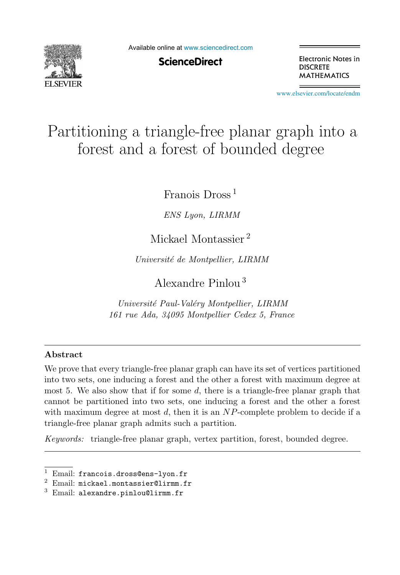

Available online at [www.sciencedirect.com](http://www.sciencedirect.com)

**ScienceDirect** 

Electronic Notes in **DISCRETE MATHEMATICS** 

[www.elsevier.com/locate/endm](http://www.elsevier.com/locate/endm)

# Partitioning a triangle-free planar graph into a forest and a forest of bounded degree

Franois Dross <sup>1</sup>

*ENS Lyon, LIRMM*

## Mickael Montassier <sup>2</sup>

*Universit´e de Montpellier, LIRMM*

Alexandre Pinlou <sup>3</sup>

*Universit´e Paul-Val´ery Montpellier, LIRMM 161 rue Ada, 34095 Montpellier Cedex 5, France*

## **Abstract**

We prove that every triangle-free planar graph can have its set of vertices partitioned into two sets, one inducing a forest and the other a forest with maximum degree at most 5. We also show that if for some  $d$ , there is a triangle-free planar graph that cannot be partitioned into two sets, one inducing a forest and the other a forest with maximum degree at most  $d$ , then it is an  $NP$ -complete problem to decide if a triangle-free planar graph admits such a partition.

*Keywords:* triangle-free planar graph, vertex partition, forest, bounded degree.

 $1$  Email: francois.dross@ens-lyon.fr

 $2$  Email: mickael.montassier@lirmm.fr

 $3$  Email: alexandre.pinlou@lirmm.fr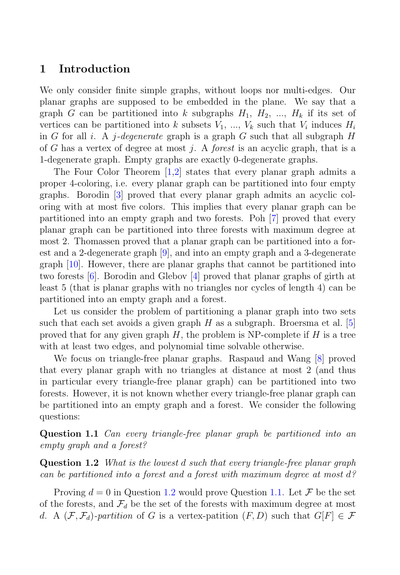## **1 Introduction**

We only consider finite simple graphs, without loops nor multi-edges. Our planar graphs are supposed to be embedded in the plane. We say that a graph G can be partitioned into k subgraphs  $H_1, H_2, ..., H_k$  if its set of vertices can be partitioned into k subsets  $V_1$ , ...,  $V_k$  such that  $V_i$  induces  $H_i$ in G for all i. A j-degenerate graph is a graph G such that all subgraph H of G has a vertex of degree at most j. A *forest* is an acyclic graph, that is a 1-degenerate graph. Empty graphs are exactly 0-degenerate graphs.

The Four Color Theorem [1,2] states that every planar graph admits a proper 4-coloring, i.e. every planar graph can be partitioned into four empty graphs. Borodin [3] proved that every planar graph admits an acyclic coloring with at most five colors. This implies that every planar graph can be partitioned into an empty graph and two forests. Poh [7] proved that every planar graph can be partitioned into three forests with maximum degree at most 2. Thomassen proved that a planar graph can be partitioned into a forest and a 2-degenerate graph [9], and into an empty graph and a 3-degenerate graph [10]. However, there are planar graphs that cannot be partitioned into two forests [6]. Borodin and Glebov [4] proved that planar graphs of girth at least 5 (that is planar graphs with no triangles nor cycles of length 4) can be partitioned into an empty graph and a forest.

Let us consider the problem of partitioning a planar graph into two sets such that each set avoids a given graph  $H$  as a subgraph. Broersma et al. [5] proved that for any given graph  $H$ , the problem is NP-complete if  $H$  is a tree with at least two edges, and polynomial time solvable otherwise.

We focus on triangle-free planar graphs. Raspaud and Wang [8] proved that every planar graph with no triangles at distance at most 2 (and thus in particular every triangle-free planar graph) can be partitioned into two forests. However, it is not known whether every triangle-free planar graph can be partitioned into an empty graph and a forest. We consider the following questions:

**Question 1.1** Can every triangle-free planar graph be partitioned into an empty graph and a forest?

**Question 1.2** What is the lowest d such that every triangle-free planar graph can be partitioned into a forest and a forest with maximum degree at most d?

Proving  $d = 0$  in Question 1.2 would prove Question 1.1. Let  $\mathcal F$  be the set of the forests, and  $\mathcal{F}_d$  be the set of the forests with maximum degree at most d. A  $(\mathcal{F}, \mathcal{F}_d)$ -partition of G is a vertex-patition  $(F, D)$  such that  $G[F] \in \mathcal{F}$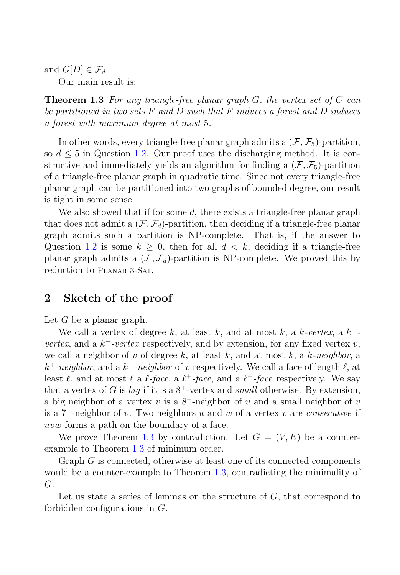and  $G[D] \in \mathcal{F}_d$ .

Our main result is:

**Theorem 1.3** For any triangle-free planar graph G, the vertex set of G can be partitioned in two sets  $F$  and  $D$  such that  $F$  induces a forest and  $D$  induces a forest with maximum degree at most 5.

In other words, every triangle-free planar graph admits a  $(\mathcal{F}, \mathcal{F}_5)$ -partition, so  $d \leq 5$  in Question 1.2. Our proof uses the discharging method. It is constructive and immediately yields an algorithm for finding a  $(\mathcal{F}, \mathcal{F}_5)$ -partition of a triangle-free planar graph in quadratic time. Since not every triangle-free planar graph can be partitioned into two graphs of bounded degree, our result is tight in some sense.

We also showed that if for some  $d$ , there exists a triangle-free planar graph that does not admit a  $(\mathcal{F}, \mathcal{F}_d)$ -partition, then deciding if a triangle-free planar graph admits such a partition is NP-complete. That is, if the answer to Question 1.2 is some  $k > 0$ , then for all  $d < k$ , deciding if a triangle-free planar graph admits a  $(\mathcal{F}, \mathcal{F}_d)$ -partition is NP-complete. We proved this by reduction to PLANAR 3-SAT.

## **2 Sketch of the proof**

Let  $G$  be a planar graph.

We call a vertex of degree k, at least k, and at most k, a k-vertex, a  $k^+$ *vertex*, and a  $k^-$ -vertex respectively, and by extension, for any fixed vertex v, we call a neighbor of v of degree k, at least k, and at most k, a k-neighbor, a  $k^+$ -neighbor, and a  $k^-$ -neighbor of v respectively. We call a face of length  $\ell$ , at least  $\ell$ , and at most  $\ell$  a  $\ell$ -face, a  $\ell^+$ -face, and a  $\ell^-$ -face respectively. We say that a vertex of G is big if it is a  $8^+$ -vertex and small otherwise. By extension, a big neighbor of a vertex v is a  $8^+$ -neighbor of v and a small neighbor of v is a 7−-neighbor of v. Two neighbors u and w of a vertex v are consecutive if uvw forms a path on the boundary of a face.

We prove Theorem 1.3 by contradiction. Let  $G = (V, E)$  be a counterexample to Theorem 1.3 of minimum order.

Graph G is connected, otherwise at least one of its connected components would be a counter-example to Theorem 1.3, contradicting the minimality of G.

Let us state a series of lemmas on the structure of  $G$ , that correspond to forbidden configurations in G.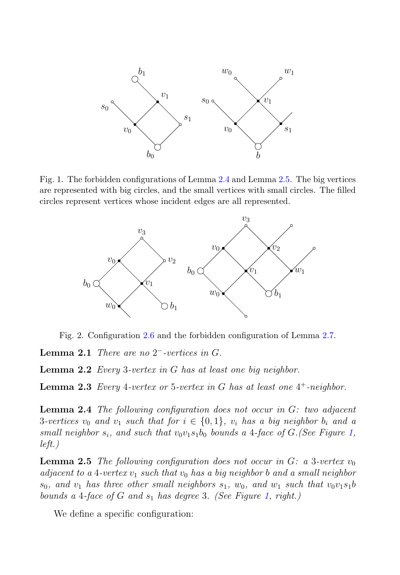

Fig. 1. The forbidden configurations of Lemma 2.4 and Lemma 2.5. The big vertices are represented with big circles, and the small vertices with small circles. The filled circles represent vertices whose incident edges are all represented.



Fig. 2. Configuration 2.6 and the forbidden configuration of Lemma 2.7.

**Lemma 2.1** There are no 2−-vertices in G.

**Lemma 2.2** Every 3-vertex in G has at least one big neighbor.

**Lemma 2.3** Every 4-vertex or 5-vertex in G has at least one  $4^+$ -neighbor.

**Lemma 2.4** The following configuration does not occur in G: two adjacent 3-vertices  $v_0$  and  $v_1$  such that for  $i \in \{0,1\}$ ,  $v_i$  has a big neighbor  $b_i$  and a small neighbor  $s_i$ , and such that  $v_0v_1s_1b_0$  bounds a 4-face of G. (See Figure 1, left.)

**Lemma 2.5** The following configuration does not occur in  $G: a$  3-vertex  $v_0$ adjacent to a 4-vertex  $v_1$  such that  $v_0$  has a big neighbor b and a small neighbor  $s_0$ , and  $v_1$  has three other small neighbors  $s_1$ ,  $w_0$ , and  $w_1$  such that  $v_0v_1s_1b$ bounds a 4-face of  $G$  and  $s_1$  has degree 3. (See Figure 1, right.)

We define a specific configuration: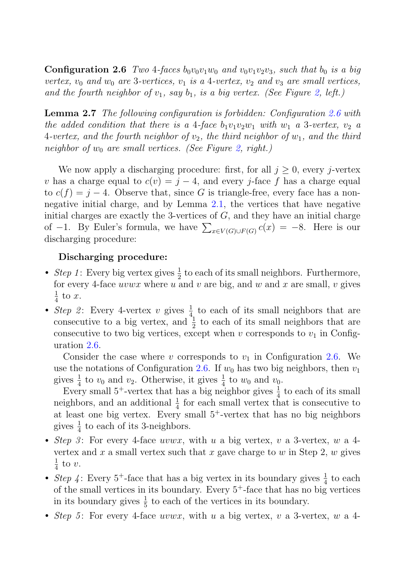**Configuration 2.6** Two 4-faces  $b_0v_0v_1w_0$  and  $v_0v_1v_2v_3$ , such that  $b_0$  is a big vertex,  $v_0$  and  $w_0$  are 3-vertices,  $v_1$  is a 4-vertex,  $v_2$  and  $v_3$  are small vertices, and the fourth neighbor of  $v_1$ , say  $b_1$ , is a big vertex. (See Figure 2, left.)

**Lemma 2.7** The following configuration is forbidden: Configuration 2.6 with the added condition that there is a 4-face  $b_1v_1v_2w_1$  with  $w_1$  a 3-vertex,  $v_2$  a 4-vertex, and the fourth neighbor of  $v_2$ , the third neighbor of  $w_1$ , and the third neighbor of  $w_0$  are small vertices. (See Figure 2, right.)

We now apply a discharging procedure: first, for all  $j \geq 0$ , every j-vertex v has a charge equal to  $c(v) = j - 4$ , and every j-face f has a charge equal to  $c(f) = j - 4$ . Observe that, since G is triangle-free, every face has a nonnegative initial charge, and by Lemma 2.1, the vertices that have negative initial charges are exactly the 3-vertices of  $G$ , and they have an initial charge of  $-1$ . By Euler's formula, we have  $\sum_{x \in V(G) \cup F(G)} c(x) = -8$ . Here is our discharging procedure:

#### **Discharging procedure:**

- Step 1: Every big vertex gives  $\frac{1}{2}$  to each of its small neighbors. Furthermore, for every 4-face  $uvwx$  where u and v are big, and w and x are small, v gives  $rac{1}{4}$  to x.
- Step 2: Every 4-vertex v gives  $\frac{1}{4}$  to each of its small neighbors that are consecutive to a big vertex, and  $\frac{1}{2}$  to each of its small neighbors that are consecutive to two big vertices, except when v corresponds to  $v_1$  in Configuration 2.6.

Consider the case where v corresponds to  $v_1$  in Configuration 2.6. We use the notations of Configuration 2.6. If  $w_0$  has two big neighbors, then  $v_1$ gives  $\frac{1}{4}$  to  $v_0$  and  $v_2$ . Otherwise, it gives  $\frac{1}{4}$  to  $w_0$  and  $v_0$ .

Every small  $5^+$ -vertex that has a big neighbor gives  $\frac{1}{4}$  to each of its small neighbors, and an additional  $\frac{1}{4}$  for each small vertex that is consecutive to at least one big vertex. Every small  $5^+$ -vertex that has no big neighbors gives  $\frac{1}{4}$  to each of its 3-neighbors.

- Step 3: For every 4-face  $uvwx$ , with u a big vertex, v a 3-vertex, w a 4vertex and x a small vertex such that x gave charge to w in Step 2, w gives  $rac{1}{4}$  to v.
- Step 4: Every 5<sup>+</sup>-face that has a big vertex in its boundary gives  $\frac{1}{4}$  to each of the small vertices in its boundary. Every  $5^+$ -face that has no big vertices in its boundary gives  $\frac{1}{5}$  to each of the vertices in its boundary.
- Step 5: For every 4-face uvwx, with u a big vertex, v a 3-vertex, w a 4-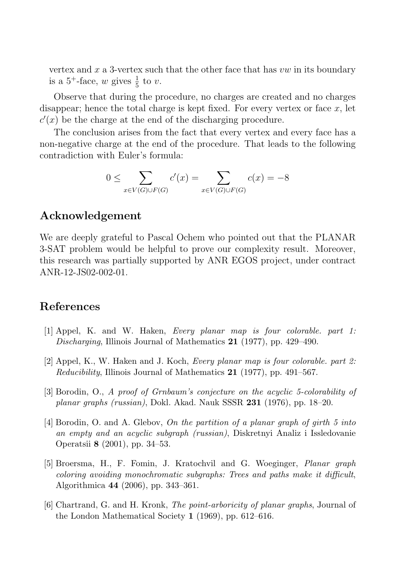vertex and x a 3-vertex such that the other face that has  $vw$  in its boundary is a 5<sup>+</sup>-face, w gives  $\frac{1}{5}$  to v.

Observe that during the procedure, no charges are created and no charges disappear; hence the total charge is kept fixed. For every vertex or face  $x$ , let  $c'(x)$  be the charge at the end of the discharging procedure.

The conclusion arises from the fact that every vertex and every face has a non-negative charge at the end of the procedure. That leads to the following contradiction with Euler's formula:

$$
0 \le \sum_{x \in V(G) \cup F(G)} c'(x) = \sum_{x \in V(G) \cup F(G)} c(x) = -8
$$

## **Acknowledgement**

We are deeply grateful to Pascal Ochem who pointed out that the PLANAR 3-SAT problem would be helpful to prove our complexity result. Moreover, this research was partially supported by ANR EGOS project, under contract ANR-12-JS02-002-01.

#### **References**

- [1] Appel, K. and W. Haken, *Every planar map is four colorable. part 1: Discharging*, Illinois Journal of Mathematics **21** (1977), pp. 429–490.
- [2] Appel, K., W. Haken and J. Koch, *Every planar map is four colorable. part 2: Reducibility*, Illinois Journal of Mathematics **21** (1977), pp. 491–567.
- [3] Borodin, O., *A proof of Grnbaum's conjecture on the acyclic 5-colorability of planar graphs (russian)*, Dokl. Akad. Nauk SSSR **231** (1976), pp. 18–20.
- [4] Borodin, O. and A. Glebov, *On the partition of a planar graph of girth 5 into an empty and an acyclic subgraph (russian)*, Diskretnyi Analiz i Issledovanie Operatsii **8** (2001), pp. 34–53.
- [5] Broersma, H., F. Fomin, J. Kratochvil and G. Woeginger, *Planar graph coloring avoiding monochromatic subgraphs: Trees and paths make it difficult*, Algorithmica **44** (2006), pp. 343–361.
- [6] Chartrand, G. and H. Kronk, *The point-arboricity of planar graphs*, Journal of the London Mathematical Society **1** (1969), pp. 612–616.